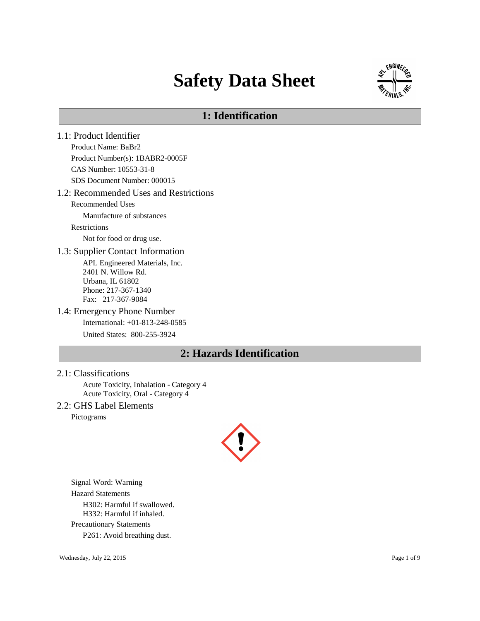# **Safety Data Sheet**



# **1: Identification**

- 1.1: Product Identifier Product Name: BaBr2 Product Number(s): 1BABR2-0005F CAS Number: 10553-31-8 SDS Document Number: 000015 1.2: Recommended Uses and Restrictions Recommended Uses Manufacture of substances Restrictions Not for food or drug use. 1.3: Supplier Contact Information APL Engineered Materials, Inc. 2401 N. Willow Rd. Urbana, IL 61802 Phone: 217-367-1340 Fax: 217-367-9084 1.4: Emergency Phone Number International: +01-813-248-0585 United States: 800-255-3924 **2: Hazards Identification**
- 2.1: Classifications

Acute Toxicity, Inhalation - Category 4 Acute Toxicity, Oral - Category 4

2.2: GHS Label Elements

Pictograms



Signal Word: Warning Hazard Statements H302: Harmful if swallowed. H332: Harmful if inhaled. Precautionary Statements P261: Avoid breathing dust.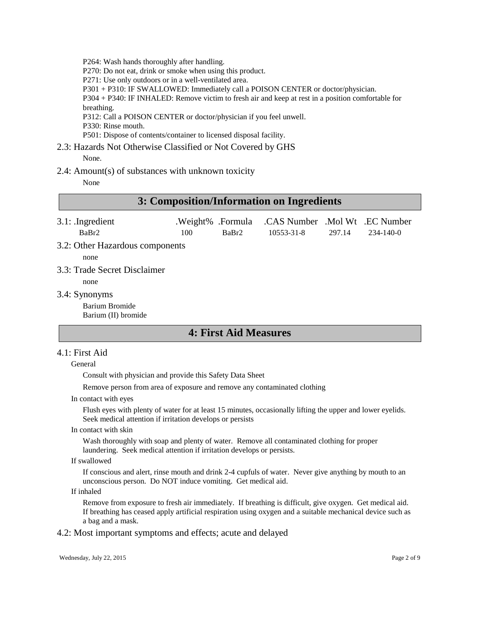P264: Wash hands thoroughly after handling.

P270: Do not eat, drink or smoke when using this product.

P271: Use only outdoors or in a well-ventilated area.

P301 + P310: IF SWALLOWED: Immediately call a POISON CENTER or doctor/physician.

P304 + P340: IF INHALED: Remove victim to fresh air and keep at rest in a position comfortable for breathing.

P312: Call a POISON CENTER or doctor/physician if you feel unwell.

P330: Rinse mouth.

P501: Dispose of contents/container to licensed disposal facility.

2.3: Hazards Not Otherwise Classified or Not Covered by GHS None.

2.4: Amount(s) of substances with unknown toxicity

None

# **3: Composition/Information on Ingredients**

| $3.1:$ Ingredient               |     |       | .Weight% .Formula .CAS Number .Mol Wt .EC Number |        |           |
|---------------------------------|-----|-------|--------------------------------------------------|--------|-----------|
| BaBr <sub>2</sub>               | 100 | BaBr2 | 10553-31-8                                       | 297.14 | 234-140-0 |
| 3.2: Other Hazardous components |     |       |                                                  |        |           |
| none                            |     |       |                                                  |        |           |

- 3.3: Trade Secret Disclaimer
- none
- 3.4: Synonyms

Barium Bromide Barium (II) bromide

# **4: First Aid Measures**

#### 4.1: First Aid

#### General

Consult with physician and provide this Safety Data Sheet

Remove person from area of exposure and remove any contaminated clothing

In contact with eyes

Flush eyes with plenty of water for at least 15 minutes, occasionally lifting the upper and lower eyelids. Seek medical attention if irritation develops or persists

In contact with skin

Wash thoroughly with soap and plenty of water. Remove all contaminated clothing for proper laundering. Seek medical attention if irritation develops or persists.

If swallowed

If conscious and alert, rinse mouth and drink 2-4 cupfuls of water. Never give anything by mouth to an unconscious person. Do NOT induce vomiting. Get medical aid.

If inhaled

Remove from exposure to fresh air immediately. If breathing is difficult, give oxygen. Get medical aid. If breathing has ceased apply artificial respiration using oxygen and a suitable mechanical device such as a bag and a mask.

4.2: Most important symptoms and effects; acute and delayed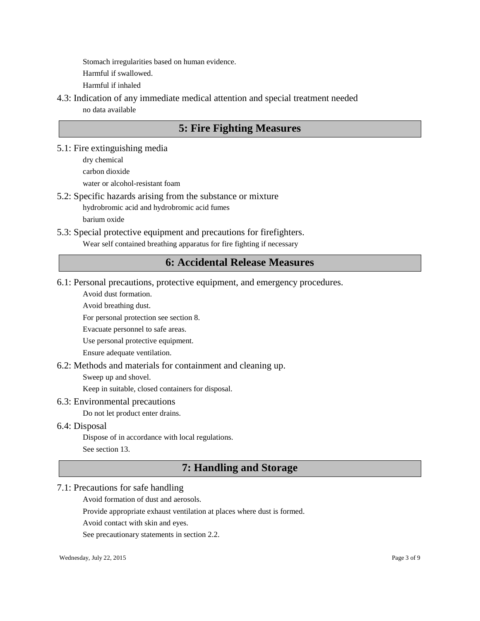Stomach irregularities based on human evidence. Harmful if swallowed. Harmful if inhaled

4.3: Indication of any immediate medical attention and special treatment needed no data available

# **5: Fire Fighting Measures**

5.1: Fire extinguishing media dry chemical carbon dioxide

water or alcohol-resistant foam

5.2: Specific hazards arising from the substance or mixture

hydrobromic acid and hydrobromic acid fumes

barium oxide

5.3: Special protective equipment and precautions for firefighters.

Wear self contained breathing apparatus for fire fighting if necessary

# **6: Accidental Release Measures**

6.1: Personal precautions, protective equipment, and emergency procedures.

Avoid dust formation.

Avoid breathing dust.

For personal protection see section 8.

Evacuate personnel to safe areas.

Use personal protective equipment.

Ensure adequate ventilation.

## 6.2: Methods and materials for containment and cleaning up.

Sweep up and shovel.

Keep in suitable, closed containers for disposal.

## 6.3: Environmental precautions

Do not let product enter drains.

## 6.4: Disposal

Dispose of in accordance with local regulations.

See section 13.

# **7: Handling and Storage**

# 7.1: Precautions for safe handling

Avoid formation of dust and aerosols.

Provide appropriate exhaust ventilation at places where dust is formed.

Avoid contact with skin and eyes.

See precautionary statements in section 2.2.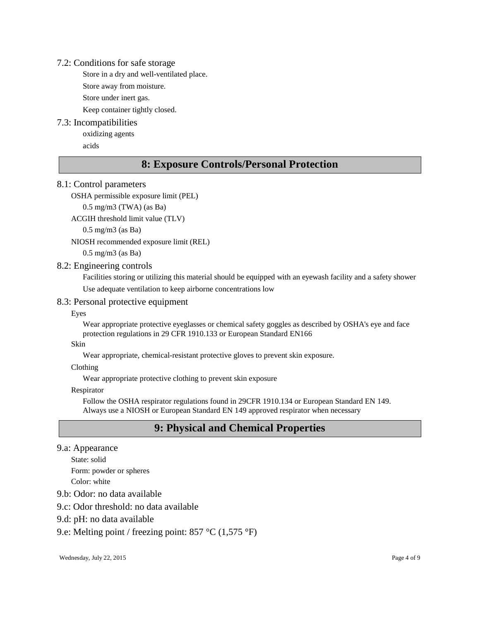#### 7.2: Conditions for safe storage

Store in a dry and well-ventilated place.

Store away from moisture.

Store under inert gas.

Keep container tightly closed.

# 7.3: Incompatibilities

oxidizing agents

acids

# **8: Exposure Controls/Personal Protection**

# 8.1: Control parameters

OSHA permissible exposure limit (PEL)

0.5 mg/m3 (TWA) (as Ba)

ACGIH threshold limit value (TLV)

0.5 mg/m3 (as Ba)

NIOSH recommended exposure limit (REL)

0.5 mg/m3 (as Ba)

# 8.2: Engineering controls

Facilities storing or utilizing this material should be equipped with an eyewash facility and a safety shower Use adequate ventilation to keep airborne concentrations low

## 8.3: Personal protective equipment

## Eyes

Wear appropriate protective eyeglasses or chemical safety goggles as described by OSHA's eye and face protection regulations in 29 CFR 1910.133 or European Standard EN166

## Skin

Wear appropriate, chemical-resistant protective gloves to prevent skin exposure.

Clothing

Wear appropriate protective clothing to prevent skin exposure

#### Respirator

Follow the OSHA respirator regulations found in 29CFR 1910.134 or European Standard EN 149. Always use a NIOSH or European Standard EN 149 approved respirator when necessary

# **9: Physical and Chemical Properties**

# 9.a: Appearance

State: solid

Form: powder or spheres

Color: white

# 9.b: Odor: no data available

## 9.c: Odor threshold: no data available

# 9.d: pH: no data available

9.e: Melting point / freezing point: 857 °C (1,575 °F)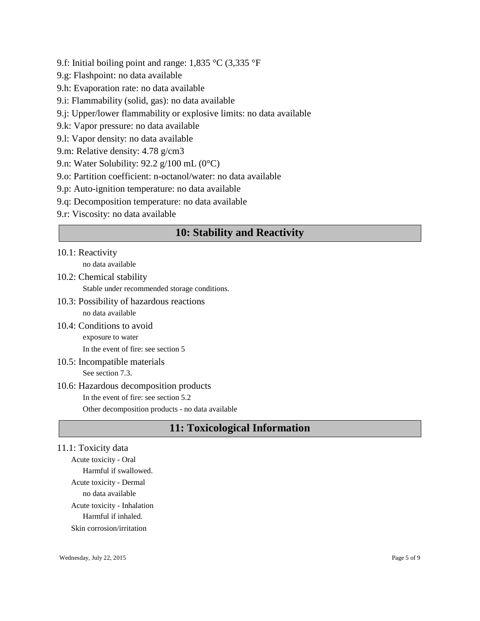- 9.f: Initial boiling point and range: 1,835 °C (3,335 °F
- 9.g: Flashpoint: no data available
- 9.h: Evaporation rate: no data available
- 9.i: Flammability (solid, gas): no data available
- 9.j: Upper/lower flammability or explosive limits: no data available
- 9.k: Vapor pressure: no data available
- 9.l: Vapor density: no data available
- 9.m: Relative density: 4.78 g/cm3
- 9.n: Water Solubility: 92.2 g/100 mL (0°C)
- 9.o: Partition coefficient: n-octanol/water: no data available
- 9.p: Auto-ignition temperature: no data available
- 9.q: Decomposition temperature: no data available
- 9.r: Viscosity: no data available

# **10: Stability and Reactivity**

# 10.1: Reactivity

no data available

- 10.2: Chemical stability Stable under recommended storage conditions.
- 10.3: Possibility of hazardous reactions no data available
- 10.4: Conditions to avoid exposure to water

In the event of fire: see section 5

10.5: Incompatible materials

See section 7.3.

# 10.6: Hazardous decomposition products In the event of fire: see section 5.2 Other decomposition products - no data available

# **11: Toxicological Information**

# 11.1: Toxicity data

Acute toxicity - Oral Harmful if swallowed. Acute toxicity - Dermal no data available Acute toxicity - Inhalation Harmful if inhaled. Skin corrosion/irritation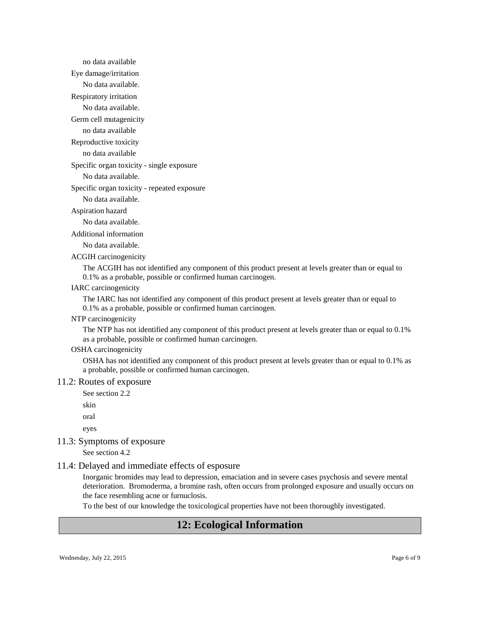no data available Eye damage/irritation No data available. Respiratory irritation No data available.

Germ cell mutagenicity

no data available

Reproductive toxicity

no data available

Specific organ toxicity - single exposure

No data available.

Specific organ toxicity - repeated exposure

No data available.

#### Aspiration hazard

No data available.

Additional information

No data available.

ACGIH carcinogenicity

The ACGIH has not identified any component of this product present at levels greater than or equal to 0.1% as a probable, possible or confirmed human carcinogen.

#### IARC carcinogenicity

The IARC has not identified any component of this product present at levels greater than or equal to 0.1% as a probable, possible or confirmed human carcinogen.

NTP carcinogenicity

The NTP has not identified any component of this product present at levels greater than or equal to 0.1% as a probable, possible or confirmed human carcinogen.

#### OSHA carcinogenicity

OSHA has not identified any component of this product present at levels greater than or equal to 0.1% as a probable, possible or confirmed human carcinogen.

#### 11.2: Routes of exposure

See section 2.2

skin

oral

eyes

11.3: Symptoms of exposure

See section 4.2

#### 11.4: Delayed and immediate effects of esposure

Inorganic bromides may lead to depression, emaciation and in severe cases psychosis and severe mental deterioration. Bromoderma, a bromine rash, often occurs from prolonged exposure and usually occurs on the face resembling acne or furnuclosis.

To the best of our knowledge the toxicological properties have not been thoroughly investigated.

# **12: Ecological Information**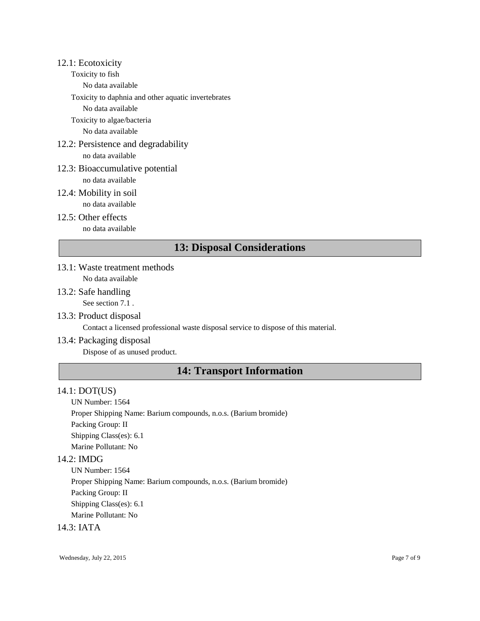#### 12.1: Ecotoxicity

- Toxicity to fish
	- No data available

Toxicity to daphnia and other aquatic invertebrates

No data available

Toxicity to algae/bacteria

No data available

- 12.2: Persistence and degradability no data available
- 12.3: Bioaccumulative potential

no data available

- 12.4: Mobility in soil
- no data available 12.5: Other effects

no data available

# **13: Disposal Considerations**

- 13.1: Waste treatment methods No data available
- 13.2: Safe handling See section 7.1 .
- 13.3: Product disposal

Contact a licensed professional waste disposal service to dispose of this material.

13.4: Packaging disposal

Dispose of as unused product.

# **14: Transport Information**

# 14.1: DOT(US)

UN Number: 1564

Proper Shipping Name: Barium compounds, n.o.s. (Barium bromide) Packing Group: II Shipping Class(es): 6.1

Marine Pollutant: No

# 14.2: IMDG

UN Number: 1564 Proper Shipping Name: Barium compounds, n.o.s. (Barium bromide) Packing Group: II Shipping Class(es): 6.1 Marine Pollutant: No

# 14.3: IATA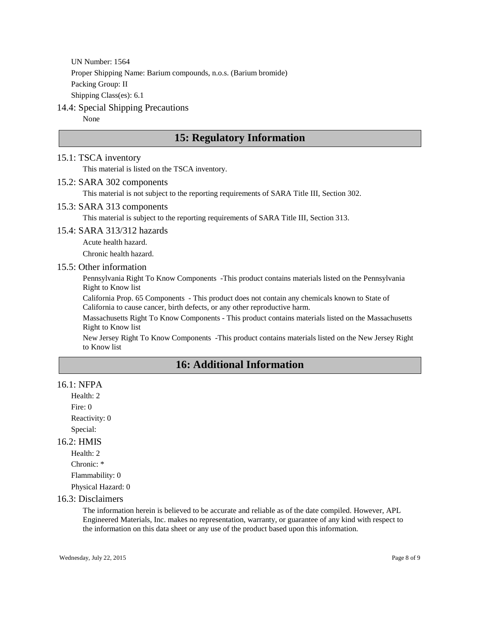UN Number: 1564 Proper Shipping Name: Barium compounds, n.o.s. (Barium bromide) Packing Group: II Shipping Class(es): 6.1

# 14.4: Special Shipping Precautions

None

# **15: Regulatory Information**

#### 15.1: TSCA inventory

This material is listed on the TSCA inventory.

#### 15.2: SARA 302 components

This material is not subject to the reporting requirements of SARA Title III, Section 302.

#### 15.3: SARA 313 components

This material is subject to the reporting requirements of SARA Title III, Section 313.

#### 15.4: SARA 313/312 hazards

Acute health hazard.

Chronic health hazard.

### 15.5: Other information

Pennsylvania Right To Know Components -This product contains materials listed on the Pennsylvania Right to Know list

California Prop. 65 Components - This product does not contain any chemicals known to State of California to cause cancer, birth defects, or any other reproductive harm.

Massachusetts Right To Know Components - This product contains materials listed on the Massachusetts Right to Know list

New Jersey Right To Know Components -This product contains materials listed on the New Jersey Right to Know list

# **16: Additional Information**

#### 16.1: NFPA

Health: 2 Fire: 0 Reactivity: 0 Special:

#### 16.2: HMIS

Health: 2 Chronic: \* Flammability: 0 Physical Hazard: 0

#### 16.3: Disclaimers

The information herein is believed to be accurate and reliable as of the date compiled. However, APL Engineered Materials, Inc. makes no representation, warranty, or guarantee of any kind with respect to the information on this data sheet or any use of the product based upon this information.